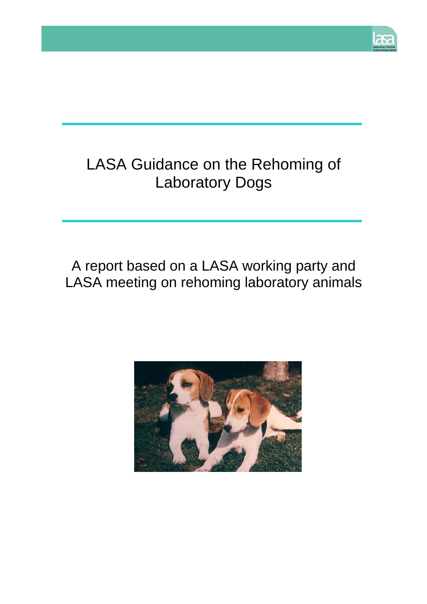

# LASA Guidance on the Rehoming of Laboratory Dogs

# A report based on a LASA working party and LASA meeting on rehoming laboratory animals

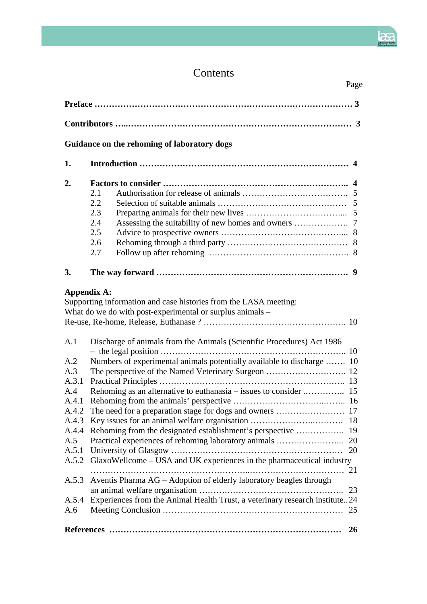## Contents

|                                                                                                                         | Page                                                                                                                                                                                                                                                                                                                                                                                                                                                                 |  |  |
|-------------------------------------------------------------------------------------------------------------------------|----------------------------------------------------------------------------------------------------------------------------------------------------------------------------------------------------------------------------------------------------------------------------------------------------------------------------------------------------------------------------------------------------------------------------------------------------------------------|--|--|
|                                                                                                                         |                                                                                                                                                                                                                                                                                                                                                                                                                                                                      |  |  |
|                                                                                                                         |                                                                                                                                                                                                                                                                                                                                                                                                                                                                      |  |  |
|                                                                                                                         | Guidance on the rehoming of laboratory dogs                                                                                                                                                                                                                                                                                                                                                                                                                          |  |  |
| 1.                                                                                                                      |                                                                                                                                                                                                                                                                                                                                                                                                                                                                      |  |  |
| 2.                                                                                                                      | 2.1<br>2.2<br>2.3<br>2.4<br>2.5<br>2.6<br>2.7                                                                                                                                                                                                                                                                                                                                                                                                                        |  |  |
| 3.                                                                                                                      |                                                                                                                                                                                                                                                                                                                                                                                                                                                                      |  |  |
| <b>Appendix A:</b>                                                                                                      | Supporting information and case histories from the LASA meeting:<br>What do we do with post-experimental or surplus animals –                                                                                                                                                                                                                                                                                                                                        |  |  |
| A.1<br>A.2<br>A.3<br>A.3.1<br>A.4<br>A.4.1<br>A.4.2<br>A.4.3<br>A.4.4<br>A.5<br>A.5.1<br>A.5.2<br>A.5.3<br>A.5.4<br>A.6 | Discharge of animals from the Animals (Scientific Procedures) Act 1986<br>Numbers of experimental animals potentially available to discharge  10<br>Practical experiences of rehoming laboratory animals<br>20<br>20<br>GlaxoWellcome - USA and UK experiences in the pharmaceutical industry<br>21<br>Aventis Pharma AG - Adoption of elderly laboratory beagles through<br>23<br>Experiences from the Animal Health Trust, a veterinary research institute24<br>25 |  |  |
|                                                                                                                         | 26                                                                                                                                                                                                                                                                                                                                                                                                                                                                   |  |  |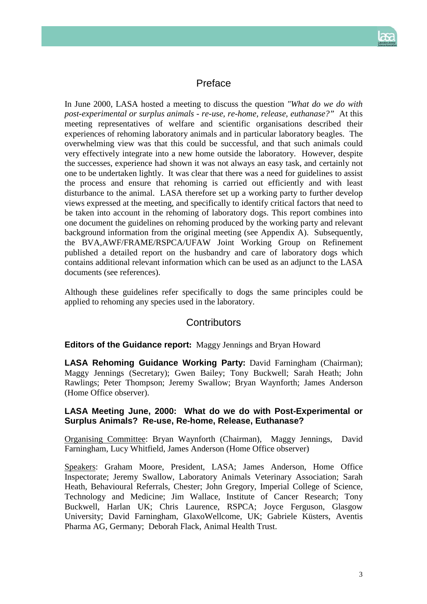

## Preface

In June 2000, LASA hosted a meeting to discuss the question *"What do we do with post-experimental or surplus animals - re-use, re-home, release, euthanase?"* At this meeting representatives of welfare and scientific organisations described their experiences of rehoming laboratory animals and in particular laboratory beagles. The overwhelming view was that this could be successful, and that such animals could very effectively integrate into a new home outside the laboratory. However, despite the successes, experience had shown it was not always an easy task, and certainly not one to be undertaken lightly. It was clear that there was a need for guidelines to assist the process and ensure that rehoming is carried out efficiently and with least disturbance to the animal. LASA therefore set up a working party to further develop views expressed at the meeting, and specifically to identify critical factors that need to be taken into account in the rehoming of laboratory dogs. This report combines into one document the guidelines on rehoming produced by the working party and relevant background information from the original meeting (see Appendix A). Subsequently, the BVA,AWF/FRAME/RSPCA/UFAW Joint Working Group on Refinement published a detailed report on the husbandry and care of laboratory dogs which contains additional relevant information which can be used as an adjunct to the LASA documents (see references).

Although these guidelines refer specifically to dogs the same principles could be applied to rehoming any species used in the laboratory.

## **Contributors**

## **Editors of the Guidance report:** Maggy Jennings and Bryan Howard

**LASA Rehoming Guidance Working Party:** David Farningham (Chairman); Maggy Jennings (Secretary); Gwen Bailey; Tony Buckwell; Sarah Heath; John Rawlings; Peter Thompson; Jeremy Swallow; Bryan Waynforth; James Anderson (Home Office observer).

## **LASA Meeting June, 2000: What do we do with Post-Experimental or Surplus Animals? Re-use, Re-home, Release, Euthanase?**

Organising Committee: Bryan Waynforth (Chairman), Maggy Jennings, David Farningham, Lucy Whitfield, James Anderson (Home Office observer)

Speakers: Graham Moore, President, LASA; James Anderson, Home Office Inspectorate; Jeremy Swallow, Laboratory Animals Veterinary Association; Sarah Heath, Behavioural Referrals, Chester; John Gregory, Imperial College of Science, Technology and Medicine; Jim Wallace, Institute of Cancer Research; Tony Buckwell, Harlan UK; Chris Laurence, RSPCA; Joyce Ferguson, Glasgow University; David Farningham, GlaxoWellcome, UK; Gabriele Küsters, Aventis Pharma AG, Germany; Deborah Flack, Animal Health Trust.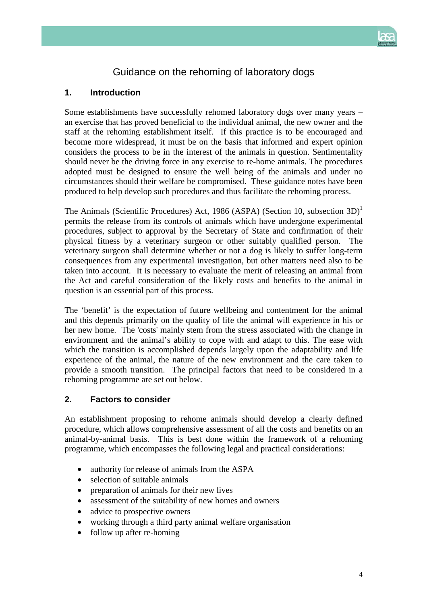

## Guidance on the rehoming of laboratory dogs

## **1. Introduction**

Some establishments have successfully rehomed laboratory dogs over many years – an exercise that has proved beneficial to the individual animal, the new owner and the staff at the rehoming establishment itself. If this practice is to be encouraged and become more widespread, it must be on the basis that informed and expert opinion considers the process to be in the interest of the animals in question. Sentimentality should never be the driving force in any exercise to re-home animals. The procedures adopted must be designed to ensure the well being of the animals and under no circumstances should their welfare be compromised. These guidance notes have been produced to help develop such procedures and thus facilitate the rehoming process.

The Animals (Scientific Procedures) Act, 1986 (ASPA) (Section 10, subsection  $3D^1$ permits the release from its controls of animals which have undergone experimental procedures, subject to approval by the Secretary of State and confirmation of their physical fitness by a veterinary surgeon or other suitably qualified person. The veterinary surgeon shall determine whether or not a dog is likely to suffer long-term consequences from any experimental investigation, but other matters need also to be taken into account. It is necessary to evaluate the merit of releasing an animal from the Act and careful consideration of the likely costs and benefits to the animal in question is an essential part of this process.

The 'benefit' is the expectation of future wellbeing and contentment for the animal and this depends primarily on the quality of life the animal will experience in his or her new home. The 'costs' mainly stem from the stress associated with the change in environment and the animal's ability to cope with and adapt to this. The ease with which the transition is accomplished depends largely upon the adaptability and life experience of the animal, the nature of the new environment and the care taken to provide a smooth transition. The principal factors that need to be considered in a rehoming programme are set out below.

## **2. Factors to consider**

An establishment proposing to rehome animals should develop a clearly defined procedure, which allows comprehensive assessment of all the costs and benefits on an animal-by-animal basis. This is best done within the framework of a rehoming programme, which encompasses the following legal and practical considerations:

- authority for release of animals from the ASPA
- selection of suitable animals
- preparation of animals for their new lives
- assessment of the suitability of new homes and owners
- advice to prospective owners
- working through a third party animal welfare organisation
- follow up after re-homing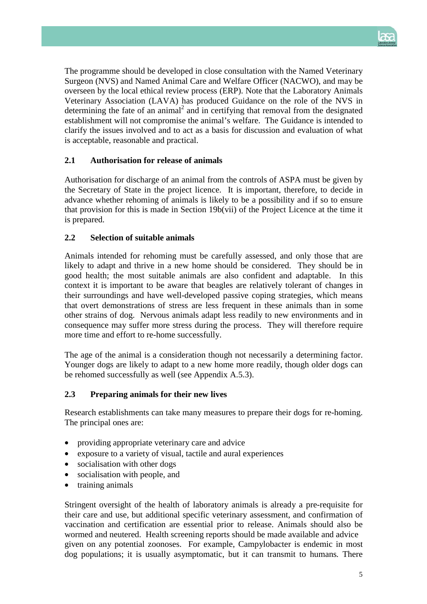

The programme should be developed in close consultation with the Named Veterinary Surgeon (NVS) and Named Animal Care and Welfare Officer (NACWO), and may be overseen by the local ethical review process (ERP). Note that the Laboratory Animals Veterinary Association (LAVA) has produced Guidance on the role of the NVS in determining the fate of an animal<sup>2</sup> and in certifying that removal from the designated establishment will not compromise the animal's welfare. The Guidance is intended to clarify the issues involved and to act as a basis for discussion and evaluation of what is acceptable, reasonable and practical.

## **2.1 Authorisation for release of animals**

Authorisation for discharge of an animal from the controls of ASPA must be given by the Secretary of State in the project licence. It is important, therefore, to decide in advance whether rehoming of animals is likely to be a possibility and if so to ensure that provision for this is made in Section 19b(vii) of the Project Licence at the time it is prepared.

## **2.2 Selection of suitable animals**

Animals intended for rehoming must be carefully assessed, and only those that are likely to adapt and thrive in a new home should be considered. They should be in good health; the most suitable animals are also confident and adaptable. In this context it is important to be aware that beagles are relatively tolerant of changes in their surroundings and have well-developed passive coping strategies, which means that overt demonstrations of stress are less frequent in these animals than in some other strains of dog. Nervous animals adapt less readily to new environments and in consequence may suffer more stress during the process. They will therefore require more time and effort to re-home successfully.

The age of the animal is a consideration though not necessarily a determining factor. Younger dogs are likely to adapt to a new home more readily, though older dogs can be rehomed successfully as well (see Appendix A.5.3).

## **2.3 Preparing animals for their new lives**

Research establishments can take many measures to prepare their dogs for re-homing. The principal ones are:

- providing appropriate veterinary care and advice
- exposure to a variety of visual, tactile and aural experiences
- socialisation with other dogs
- socialisation with people, and
- training animals

Stringent oversight of the health of laboratory animals is already a pre-requisite for their care and use, but additional specific veterinary assessment, and confirmation of vaccination and certification are essential prior to release. Animals should also be wormed and neutered. Health screening reports should be made available and advice given on any potential zoonoses. For example, Campylobacter is endemic in most dog populations; it is usually asymptomatic, but it can transmit to humans*.* There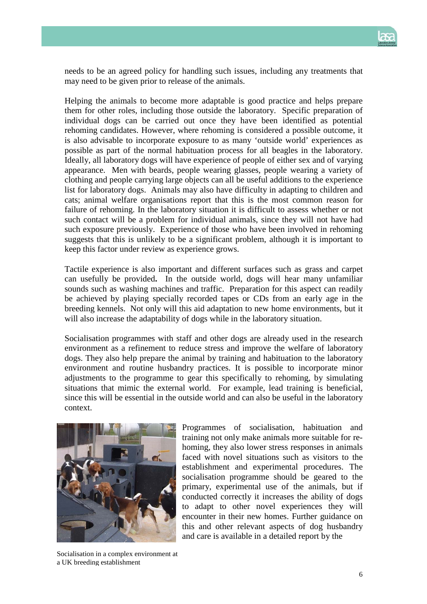

needs to be an agreed policy for handling such issues, including any treatments that may need to be given prior to release of the animals.

Helping the animals to become more adaptable is good practice and helps prepare them for other roles, including those outside the laboratory. Specific preparation of individual dogs can be carried out once they have been identified as potential rehoming candidates. However, where rehoming is considered a possible outcome, it is also advisable to incorporate exposure to as many 'outside world' experiences as possible as part of the normal habituation process for all beagles in the laboratory. Ideally, all laboratory dogs will have experience of people of either sex and of varying appearance. Men with beards, people wearing glasses, people wearing a variety of clothing and people carrying large objects can all be useful additions to the experience list for laboratory dogs. Animals may also have difficulty in adapting to children and cats; animal welfare organisations report that this is the most common reason for failure of rehoming. In the laboratory situation it is difficult to assess whether or not such contact will be a problem for individual animals, since they will not have had such exposure previously. Experience of those who have been involved in rehoming suggests that this is unlikely to be a significant problem, although it is important to keep this factor under review as experience grows.

Tactile experience is also important and different surfaces such as grass and carpet can usefully be provided**.** In the outside world, dogs will hear many unfamiliar sounds such as washing machines and traffic. Preparation for this aspect can readily be achieved by playing specially recorded tapes or CDs from an early age in the breeding kennels. Not only will this aid adaptation to new home environments, but it will also increase the adaptability of dogs while in the laboratory situation.

Socialisation programmes with staff and other dogs are already used in the research environment as a refinement to reduce stress and improve the welfare of laboratory dogs. They also help prepare the animal by training and habituation to the laboratory environment and routine husbandry practices. It is possible to incorporate minor adjustments to the programme to gear this specifically to rehoming, by simulating situations that mimic the external world. For example, lead training is beneficial, since this will be essential in the outside world and can also be useful in the laboratory context.



Programmes of socialisation, habituation and training not only make animals more suitable for rehoming, they also lower stress responses in animals faced with novel situations such as visitors to the establishment and experimental procedures. The socialisation programme should be geared to the primary, experimental use of the animals, but if conducted correctly it increases the ability of dogs to adapt to other novel experiences they will encounter in their new homes. Further guidance on this and other relevant aspects of dog husbandry and care is available in a detailed report by the

Socialisation in a complex environment at a UK breeding establishment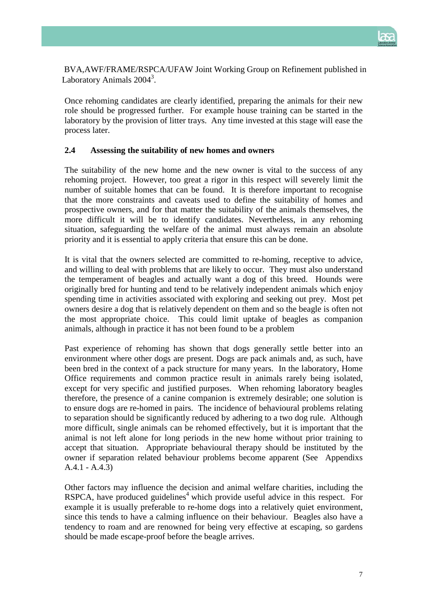

 BVA,AWF/FRAME/RSPCA/UFAW Joint Working Group on Refinement published in Laboratory Animals 2004<sup>3</sup>.

Once rehoming candidates are clearly identified, preparing the animals for their new role should be progressed further. For example house training can be started in the laboratory by the provision of litter trays. Any time invested at this stage will ease the process later.

#### **2.4 Assessing the suitability of new homes and owners**

The suitability of the new home and the new owner is vital to the success of any rehoming project. However, too great a rigor in this respect will severely limit the number of suitable homes that can be found. It is therefore important to recognise that the more constraints and caveats used to define the suitability of homes and prospective owners, and for that matter the suitability of the animals themselves, the more difficult it will be to identify candidates. Nevertheless, in any rehoming situation, safeguarding the welfare of the animal must always remain an absolute priority and it is essential to apply criteria that ensure this can be done.

It is vital that the owners selected are committed to re-homing, receptive to advice, and willing to deal with problems that are likely to occur. They must also understand the temperament of beagles and actually want a dog of this breed. Hounds were originally bred for hunting and tend to be relatively independent animals which enjoy spending time in activities associated with exploring and seeking out prey. Most pet owners desire a dog that is relatively dependent on them and so the beagle is often not the most appropriate choice. This could limit uptake of beagles as companion animals, although in practice it has not been found to be a problem

Past experience of rehoming has shown that dogs generally settle better into an environment where other dogs are present. Dogs are pack animals and, as such, have been bred in the context of a pack structure for many years. In the laboratory, Home Office requirements and common practice result in animals rarely being isolated, except for very specific and justified purposes. When rehoming laboratory beagles therefore, the presence of a canine companion is extremely desirable; one solution is to ensure dogs are re-homed in pairs. The incidence of behavioural problems relating to separation should be significantly reduced by adhering to a two dog rule. Although more difficult, single animals can be rehomed effectively, but it is important that the animal is not left alone for long periods in the new home without prior training to accept that situation. Appropriate behavioural therapy should be instituted by the owner if separation related behaviour problems become apparent (See Appendixs A.4.1 - A.4.3)

Other factors may influence the decision and animal welfare charities, including the  $RSPCA$ , have produced guidelines<sup>4</sup> which provide useful advice in this respect. For example it is usually preferable to re-home dogs into a relatively quiet environment, since this tends to have a calming influence on their behaviour. Beagles also have a tendency to roam and are renowned for being very effective at escaping, so gardens should be made escape-proof before the beagle arrives.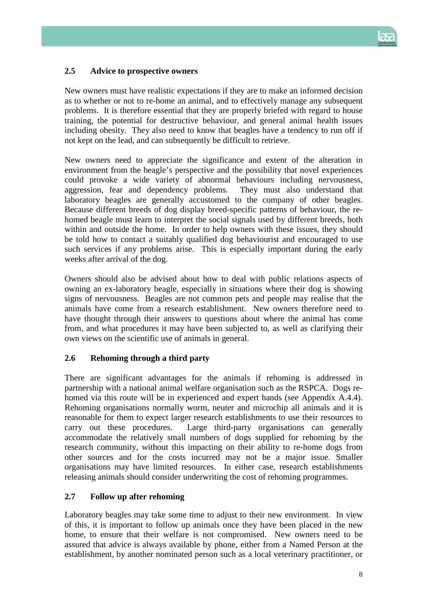

## **2.5 Advice to prospective owners**

New owners must have realistic expectations if they are to make an informed decision as to whether or not to re-home an animal, and to effectively manage any subsequent problems. It is therefore essential that they are properly briefed with regard to house training, the potential for destructive behaviour, and general animal health issues including obesity. They also need to know that beagles have a tendency to run off if not kept on the lead, and can subsequently be difficult to retrieve.

New owners need to appreciate the significance and extent of the alteration in environment from the beagle's perspective and the possibility that novel experiences could provoke a wide variety of abnormal behaviours including nervousness, aggression, fear and dependency problems. They must also understand that laboratory beagles are generally accustomed to the company of other beagles. Because different breeds of dog display breed-specific patterns of behaviour, the rehomed beagle must learn to interpret the social signals used by different breeds, both within and outside the home. In order to help owners with these issues, they should be told how to contact a suitably qualified dog behaviourist and encouraged to use such services if any problems arise. This is especially important during the early weeks after arrival of the dog.

Owners should also be advised about how to deal with public relations aspects of owning an ex-laboratory beagle, especially in situations where their dog is showing signs of nervousness. Beagles are not common pets and people may realise that the animals have come from a research establishment. New owners therefore need to have thought through their answers to questions about where the animal has come from, and what procedures it may have been subjected to, as well as clarifying their own views on the scientific use of animals in general.

## **2.6 Rehoming through a third party**

There are significant advantages for the animals if rehoming is addressed in partnership with a national animal welfare organisation such as the RSPCA. Dogs rehomed via this route will be in experienced and expert hands (see Appendix A.4.4). Rehoming organisations normally worm, neuter and microchip all animals and it is reasonable for them to expect larger research establishments to use their resources to carry out these procedures. Large third-party organisations can generally accommodate the relatively small numbers of dogs supplied for rehoming by the research community, without this impacting on their ability to re-home dogs from other sources and for the costs incurred may not be a major issue. Smaller organisations may have limited resources. In either case, research establishments releasing animals should consider underwriting the cost of rehoming programmes.

## **2.7 Follow up after rehoming**

Laboratory beagles may take some time to adjust to their new environment. In view of this, it is important to follow up animals once they have been placed in the new home, to ensure that their welfare is not compromised. New owners need to be assured that advice is always available by phone, either from a Named Person at the establishment, by another nominated person such as a local veterinary practitioner, or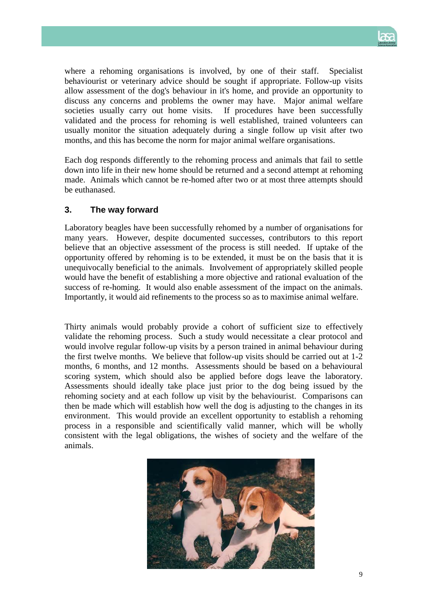

where a rehoming organisations is involved, by one of their staff. Specialist behaviourist or veterinary advice should be sought if appropriate. Follow-up visits allow assessment of the dog's behaviour in it's home, and provide an opportunity to discuss any concerns and problems the owner may have. Major animal welfare societies usually carry out home visits. If procedures have been successfully validated and the process for rehoming is well established, trained volunteers can usually monitor the situation adequately during a single follow up visit after two months, and this has become the norm for major animal welfare organisations.

Each dog responds differently to the rehoming process and animals that fail to settle down into life in their new home should be returned and a second attempt at rehoming made. Animals which cannot be re-homed after two or at most three attempts should be euthanased.

## **3. The way forward**

Laboratory beagles have been successfully rehomed by a number of organisations for many years. However, despite documented successes, contributors to this report believe that an objective assessment of the process is still needed. If uptake of the opportunity offered by rehoming is to be extended, it must be on the basis that it is unequivocally beneficial to the animals. Involvement of appropriately skilled people would have the benefit of establishing a more objective and rational evaluation of the success of re-homing. It would also enable assessment of the impact on the animals. Importantly, it would aid refinements to the process so as to maximise animal welfare.

Thirty animals would probably provide a cohort of sufficient size to effectively validate the rehoming process. Such a study would necessitate a clear protocol and would involve regular follow-up visits by a person trained in animal behaviour during the first twelve months. We believe that follow-up visits should be carried out at 1-2 months, 6 months, and 12 months. Assessments should be based on a behavioural scoring system, which should also be applied before dogs leave the laboratory. Assessments should ideally take place just prior to the dog being issued by the rehoming society and at each follow up visit by the behaviourist. Comparisons can then be made which will establish how well the dog is adjusting to the changes in its environment. This would provide an excellent opportunity to establish a rehoming process in a responsible and scientifically valid manner, which will be wholly consistent with the legal obligations, the wishes of society and the welfare of the animals.

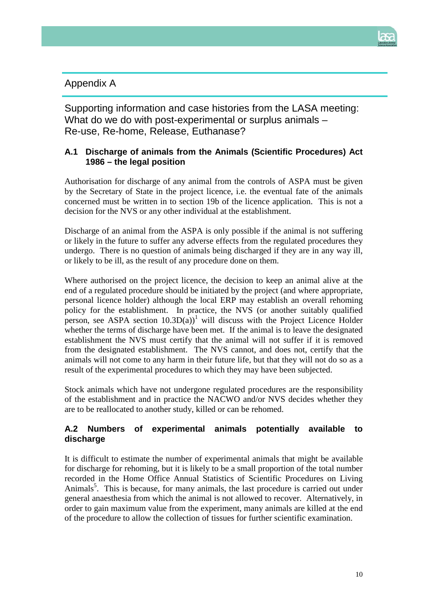

## Appendix A

Supporting information and case histories from the LASA meeting: What do we do with post-experimental or surplus animals – Re-use, Re-home, Release, Euthanase?

## **A.1 Discharge of animals from the Animals (Scientific Procedures) Act 1986 – the legal position**

Authorisation for discharge of any animal from the controls of ASPA must be given by the Secretary of State in the project licence, i.e. the eventual fate of the animals concerned must be written in to section 19b of the licence application. This is not a decision for the NVS or any other individual at the establishment.

Discharge of an animal from the ASPA is only possible if the animal is not suffering or likely in the future to suffer any adverse effects from the regulated procedures they undergo. There is no question of animals being discharged if they are in any way ill, or likely to be ill, as the result of any procedure done on them.

Where authorised on the project licence, the decision to keep an animal alive at the end of a regulated procedure should be initiated by the project (and where appropriate, personal licence holder) although the local ERP may establish an overall rehoming policy for the establishment. In practice, the NVS (or another suitably qualified person, see ASPA section  $10.3D(a)$ <sup>1</sup> will discuss with the Project Licence Holder whether the terms of discharge have been met. If the animal is to leave the designated establishment the NVS must certify that the animal will not suffer if it is removed from the designated establishment. The NVS cannot, and does not, certify that the animals will not come to any harm in their future life, but that they will not do so as a result of the experimental procedures to which they may have been subjected.

Stock animals which have not undergone regulated procedures are the responsibility of the establishment and in practice the NACWO and/or NVS decides whether they are to be reallocated to another study, killed or can be rehomed.

## **A.2 Numbers of experimental animals potentially available to discharge**

It is difficult to estimate the number of experimental animals that might be available for discharge for rehoming, but it is likely to be a small proportion of the total number recorded in the Home Office Annual Statistics of Scientific Procedures on Living Animals<sup>5</sup>. This is because, for many animals, the last procedure is carried out under general anaesthesia from which the animal is not allowed to recover. Alternatively, in order to gain maximum value from the experiment, many animals are killed at the end of the procedure to allow the collection of tissues for further scientific examination.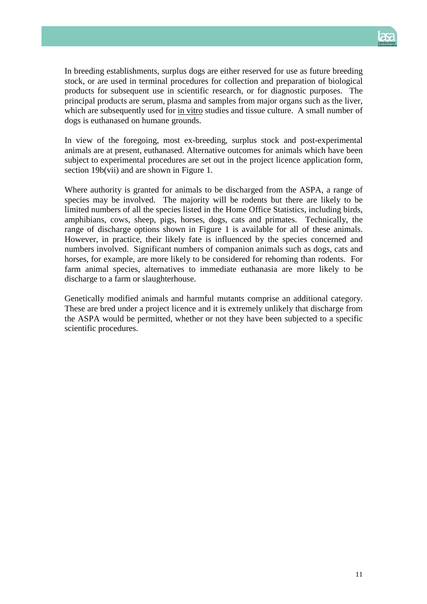

In breeding establishments, surplus dogs are either reserved for use as future breeding stock, or are used in terminal procedures for collection and preparation of biological products for subsequent use in scientific research, or for diagnostic purposes. The principal products are serum, plasma and samples from major organs such as the liver, which are subsequently used for in vitro studies and tissue culture. A small number of dogs is euthanased on humane grounds.

In view of the foregoing, most ex-breeding, surplus stock and post-experimental animals are at present, euthanased. Alternative outcomes for animals which have been subject to experimental procedures are set out in the project licence application form, section 19b(vii) and are shown in Figure 1.

Where authority is granted for animals to be discharged from the ASPA, a range of species may be involved. The majority will be rodents but there are likely to be limited numbers of all the species listed in the Home Office Statistics, including birds, amphibians, cows, sheep, pigs, horses, dogs, cats and primates. Technically, the range of discharge options shown in Figure 1 is available for all of these animals. However, in practice, their likely fate is influenced by the species concerned and numbers involved. Significant numbers of companion animals such as dogs, cats and horses, for example, are more likely to be considered for rehoming than rodents. For farm animal species, alternatives to immediate euthanasia are more likely to be discharge to a farm or slaughterhouse.

Genetically modified animals and harmful mutants comprise an additional category. These are bred under a project licence and it is extremely unlikely that discharge from the ASPA would be permitted, whether or not they have been subjected to a specific scientific procedures.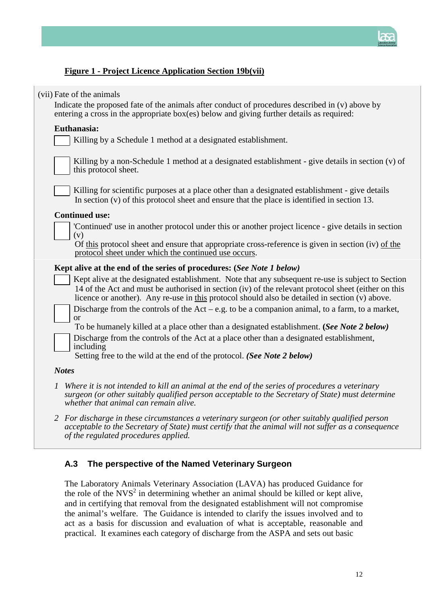

## **Figure 1 - Project Licence Application Section 19b(vii)**

| (vii) Fate of the animals                                                                                                                                                                                                                                                                                  |  |
|------------------------------------------------------------------------------------------------------------------------------------------------------------------------------------------------------------------------------------------------------------------------------------------------------------|--|
| Indicate the proposed fate of the animals after conduct of procedures described in (v) above by<br>entering a cross in the appropriate box(es) below and giving further details as required:                                                                                                               |  |
| Euthanasia:                                                                                                                                                                                                                                                                                                |  |
| Killing by a Schedule 1 method at a designated establishment.                                                                                                                                                                                                                                              |  |
| Killing by a non-Schedule 1 method at a designated establishment - give details in section (v) of<br>this protocol sheet.                                                                                                                                                                                  |  |
| Killing for scientific purposes at a place other than a designated establishment - give details<br>In section $(v)$ of this protocol sheet and ensure that the place is identified in section 13.                                                                                                          |  |
| <b>Continued use:</b>                                                                                                                                                                                                                                                                                      |  |
| 'Continued' use in another protocol under this or another project licence - give details in section<br>(v)                                                                                                                                                                                                 |  |
| Of this protocol sheet and ensure that appropriate cross-reference is given in section (iv) of the<br>protocol sheet under which the continued use occurs.                                                                                                                                                 |  |
| Kept alive at the end of the series of procedures: (See Note 1 below)                                                                                                                                                                                                                                      |  |
| Kept alive at the designated establishment. Note that any subsequent re-use is subject to Section<br>14 of the Act and must be authorised in section (iv) of the relevant protocol sheet (either on this<br>licence or another). Any re-use in this protocol should also be detailed in section (v) above. |  |
| Discharge from the controls of the $Act - e.g.$ to be a companion animal, to a farm, to a market,<br><sub>or</sub>                                                                                                                                                                                         |  |
| To be humanely killed at a place other than a designated establishment. (See Note 2 below)                                                                                                                                                                                                                 |  |
| Discharge from the controls of the Act at a place other than a designated establishment,<br>including                                                                                                                                                                                                      |  |
| Setting free to the wild at the end of the protocol. (See Note 2 below)                                                                                                                                                                                                                                    |  |
| <b>Notes</b>                                                                                                                                                                                                                                                                                               |  |
| Where it is not intended to kill an animal at the end of the series of procedures a veterinary<br>$\mathcal{I}$<br>surgeon (or other suitably qualified person acceptable to the Secretary of State) must determine<br>whether that animal can remain alive.                                               |  |
| 2 For discharge in these circumstances a veterinary surgeon (or other suitably qualified person                                                                                                                                                                                                            |  |

## **A.3 The perspective of the Named Veterinary Surgeon**

*of the regulated procedures applied.*

The Laboratory Animals Veterinary Association (LAVA) has produced Guidance for the role of the  $NVS<sup>2</sup>$  in determining whether an animal should be killed or kept alive, and in certifying that removal from the designated establishment will not compromise the animal's welfare. The Guidance is intended to clarify the issues involved and to act as a basis for discussion and evaluation of what is acceptable, reasonable and practical. It examines each category of discharge from the ASPA and sets out basic

*acceptable to the Secretary of State) must certify that the animal will not suffer as a consequence*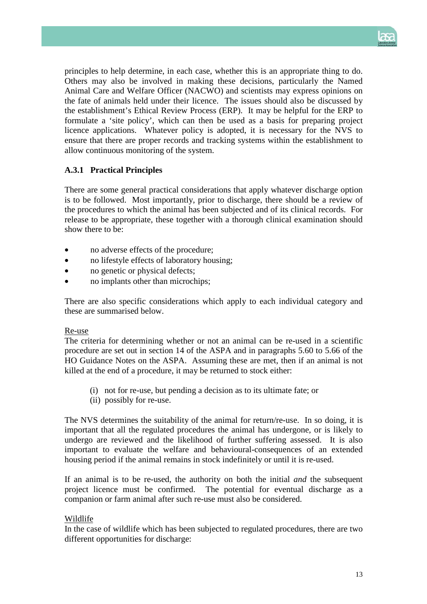

principles to help determine, in each case, whether this is an appropriate thing to do. Others may also be involved in making these decisions, particularly the Named Animal Care and Welfare Officer (NACWO) and scientists may express opinions on the fate of animals held under their licence. The issues should also be discussed by the establishment's Ethical Review Process (ERP). It may be helpful for the ERP to formulate a 'site policy', which can then be used as a basis for preparing project licence applications. Whatever policy is adopted, it is necessary for the NVS to ensure that there are proper records and tracking systems within the establishment to allow continuous monitoring of the system.

## **A.3.1 Practical Principles**

There are some general practical considerations that apply whatever discharge option is to be followed. Most importantly, prior to discharge, there should be a review of the procedures to which the animal has been subjected and of its clinical records. For release to be appropriate, these together with a thorough clinical examination should show there to be:

- no adverse effects of the procedure;
- no lifestyle effects of laboratory housing;
- no genetic or physical defects;
- no implants other than microchips;

There are also specific considerations which apply to each individual category and these are summarised below.

#### Re-use

The criteria for determining whether or not an animal can be re-used in a scientific procedure are set out in section 14 of the ASPA and in paragraphs 5.60 to 5.66 of the HO Guidance Notes on the ASPA. Assuming these are met, then if an animal is not killed at the end of a procedure, it may be returned to stock either:

- (i) not for re-use, but pending a decision as to its ultimate fate; or
- (ii) possibly for re-use.

The NVS determines the suitability of the animal for return/re-use. In so doing, it is important that all the regulated procedures the animal has undergone, or is likely to undergo are reviewed and the likelihood of further suffering assessed. It is also important to evaluate the welfare and behavioural-consequences of an extended housing period if the animal remains in stock indefinitely or until it is re-used.

If an animal is to be re-used, the authority on both the initial *and* the subsequent project licence must be confirmed. The potential for eventual discharge as a companion or farm animal after such re-use must also be considered.

## Wildlife

In the case of wildlife which has been subjected to regulated procedures, there are two different opportunities for discharge: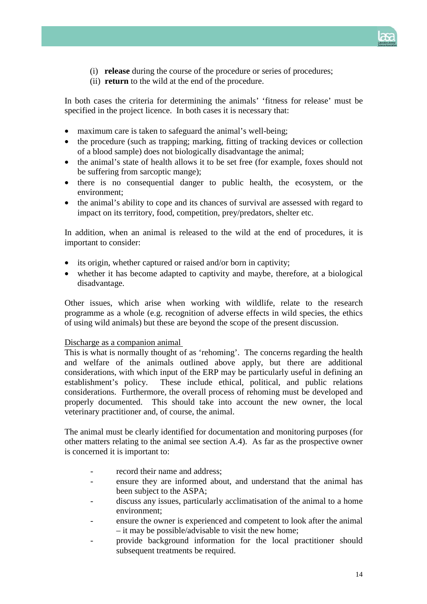

- (i) **release** during the course of the procedure or series of procedures;
- (ii) **return** to the wild at the end of the procedure.

In both cases the criteria for determining the animals' 'fitness for release' must be specified in the project licence. In both cases it is necessary that:

- maximum care is taken to safeguard the animal's well-being;
- the procedure (such as trapping; marking, fitting of tracking devices or collection of a blood sample) does not biologically disadvantage the animal;
- the animal's state of health allows it to be set free (for example, foxes should not be suffering from sarcoptic mange);
- there is no consequential danger to public health, the ecosystem, or the environment;
- the animal's ability to cope and its chances of survival are assessed with regard to impact on its territory, food, competition, prey/predators, shelter etc.

In addition, when an animal is released to the wild at the end of procedures, it is important to consider:

- its origin, whether captured or raised and/or born in captivity;
- whether it has become adapted to captivity and maybe, therefore, at a biological disadvantage.

Other issues, which arise when working with wildlife, relate to the research programme as a whole (e.g. recognition of adverse effects in wild species, the ethics of using wild animals) but these are beyond the scope of the present discussion.

#### Discharge as a companion animal

This is what is normally thought of as 'rehoming'. The concerns regarding the health and welfare of the animals outlined above apply, but there are additional considerations, with which input of the ERP may be particularly useful in defining an establishment's policy. These include ethical, political, and public relations considerations. Furthermore, the overall process of rehoming must be developed and properly documented. This should take into account the new owner, the local veterinary practitioner and, of course, the animal.

The animal must be clearly identified for documentation and monitoring purposes (for other matters relating to the animal see section A.4). As far as the prospective owner is concerned it is important to:

- record their name and address:
- ensure they are informed about, and understand that the animal has been subject to the ASPA;
- discuss any issues, particularly acclimatisation of the animal to a home environment;
- ensure the owner is experienced and competent to look after the animal – it may be possible/advisable to visit the new home;
- provide background information for the local practitioner should subsequent treatments be required.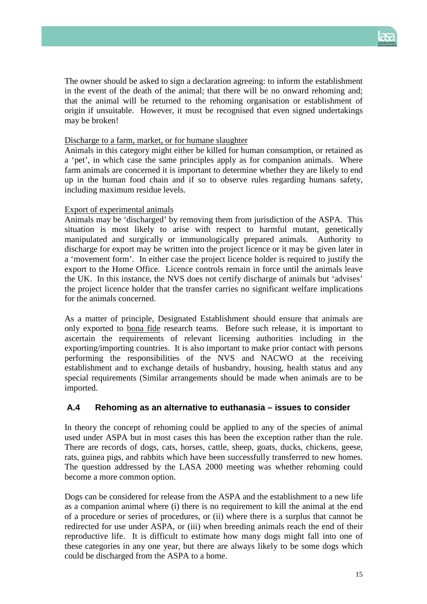

The owner should be asked to sign a declaration agreeing: to inform the establishment in the event of the death of the animal; that there will be no onward rehoming and; that the animal will be returned to the rehoming organisation or establishment of origin if unsuitable. However, it must be recognised that even signed undertakings may be broken!

## Discharge to a farm, market, or for humane slaughter

Animals in this category might either be killed for human consumption, or retained as a 'pet', in which case the same principles apply as for companion animals. Where farm animals are concerned it is important to determine whether they are likely to end up in the human food chain and if so to observe rules regarding humans safety, including maximum residue levels.

## Export of experimental animals

Animals may be 'discharged' by removing them from jurisdiction of the ASPA. This situation is most likely to arise with respect to harmful mutant, genetically manipulated and surgically or immunologically prepared animals. Authority to discharge for export may be written into the project licence or it may be given later in a 'movement form'. In either case the project licence holder is required to justify the export to the Home Office. Licence controls remain in force until the animals leave the UK. In this instance, the NVS does not certify discharge of animals but 'advises' the project licence holder that the transfer carries no significant welfare implications for the animals concerned.

As a matter of principle, Designated Establishment should ensure that animals are only exported to bona fide research teams. Before such release, it is important to ascertain the requirements of relevant licensing authorities including in the exporting/importing countries. It is also important to make prior contact with persons performing the responsibilities of the NVS and NACWO at the receiving establishment and to exchange details of husbandry, housing, health status and any special requirements (Similar arrangements should be made when animals are to be imported.

## **A.4 Rehoming as an alternative to euthanasia – issues to consider**

In theory the concept of rehoming could be applied to any of the species of animal used under ASPA but in most cases this has been the exception rather than the rule. There are records of dogs, cats, horses, cattle, sheep, goats, ducks, chickens, geese, rats, guinea pigs, and rabbits which have been successfully transferred to new homes. The question addressed by the LASA 2000 meeting was whether rehoming could become a more common option.

Dogs can be considered for release from the ASPA and the establishment to a new life as a companion animal where (i) there is no requirement to kill the animal at the end of a procedure or series of procedures, or (ii) where there is a surplus that cannot be redirected for use under ASPA, or (iii) when breeding animals reach the end of their reproductive life. It is difficult to estimate how many dogs might fall into one of these categories in any one year, but there are always likely to be some dogs which could be discharged from the ASPA to a home.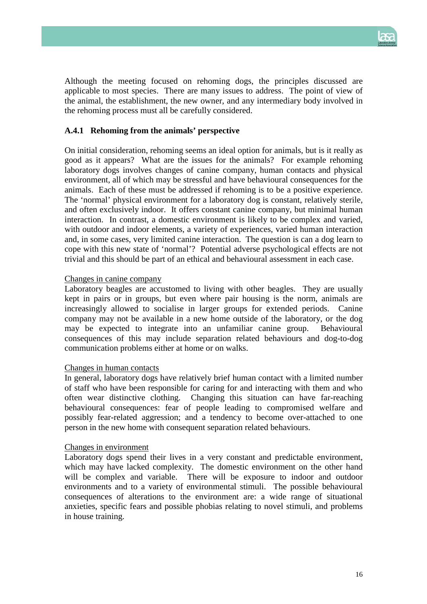

Although the meeting focused on rehoming dogs, the principles discussed are applicable to most species. There are many issues to address. The point of view of the animal, the establishment, the new owner, and any intermediary body involved in the rehoming process must all be carefully considered.

#### **A.4.1 Rehoming from the animals' perspective**

On initial consideration, rehoming seems an ideal option for animals, but is it really as good as it appears? What are the issues for the animals? For example rehoming laboratory dogs involves changes of canine company, human contacts and physical environment, all of which may be stressful and have behavioural consequences for the animals. Each of these must be addressed if rehoming is to be a positive experience. The 'normal' physical environment for a laboratory dog is constant, relatively sterile, and often exclusively indoor. It offers constant canine company, but minimal human interaction. In contrast, a domestic environment is likely to be complex and varied, with outdoor and indoor elements, a variety of experiences, varied human interaction and, in some cases, very limited canine interaction. The question is can a dog learn to cope with this new state of 'normal'? Potential adverse psychological effects are not trivial and this should be part of an ethical and behavioural assessment in each case.

#### Changes in canine company

Laboratory beagles are accustomed to living with other beagles. They are usually kept in pairs or in groups, but even where pair housing is the norm, animals are increasingly allowed to socialise in larger groups for extended periods. Canine company may not be available in a new home outside of the laboratory, or the dog may be expected to integrate into an unfamiliar canine group. Behavioural consequences of this may include separation related behaviours and dog-to-dog communication problems either at home or on walks.

#### Changes in human contacts

In general, laboratory dogs have relatively brief human contact with a limited number of staff who have been responsible for caring for and interacting with them and who often wear distinctive clothing. Changing this situation can have far-reaching behavioural consequences: fear of people leading to compromised welfare and possibly fear-related aggression; and a tendency to become over-attached to one person in the new home with consequent separation related behaviours.

#### Changes in environment

Laboratory dogs spend their lives in a very constant and predictable environment, which may have lacked complexity. The domestic environment on the other hand will be complex and variable. There will be exposure to indoor and outdoor environments and to a variety of environmental stimuli. The possible behavioural consequences of alterations to the environment are: a wide range of situational anxieties, specific fears and possible phobias relating to novel stimuli, and problems in house training.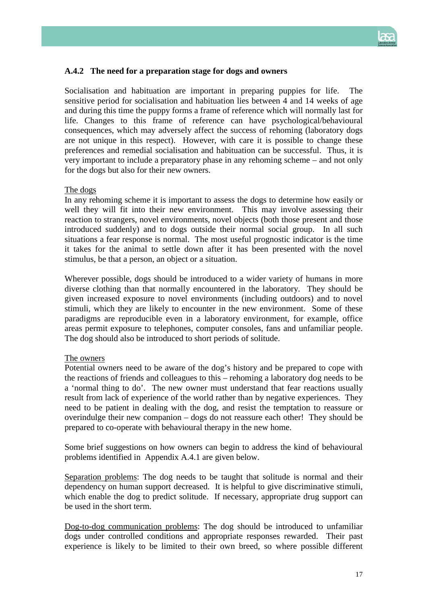

## **A.4.2 The need for a preparation stage for dogs and owners**

Socialisation and habituation are important in preparing puppies for life. The sensitive period for socialisation and habituation lies between 4 and 14 weeks of age and during this time the puppy forms a frame of reference which will normally last for life. Changes to this frame of reference can have psychological/behavioural consequences, which may adversely affect the success of rehoming (laboratory dogs are not unique in this respect). However, with care it is possible to change these preferences and remedial socialisation and habituation can be successful. Thus, it is very important to include a preparatory phase in any rehoming scheme – and not only for the dogs but also for their new owners.

#### The dogs

In any rehoming scheme it is important to assess the dogs to determine how easily or well they will fit into their new environment. This may involve assessing their reaction to strangers, novel environments, novel objects (both those present and those introduced suddenly) and to dogs outside their normal social group. In all such situations a fear response is normal. The most useful prognostic indicator is the time it takes for the animal to settle down after it has been presented with the novel stimulus, be that a person, an object or a situation.

Wherever possible, dogs should be introduced to a wider variety of humans in more diverse clothing than that normally encountered in the laboratory. They should be given increased exposure to novel environments (including outdoors) and to novel stimuli, which they are likely to encounter in the new environment. Some of these paradigms are reproducible even in a laboratory environment, for example, office areas permit exposure to telephones, computer consoles, fans and unfamiliar people. The dog should also be introduced to short periods of solitude.

#### The owners

Potential owners need to be aware of the dog's history and be prepared to cope with the reactions of friends and colleagues to this – rehoming a laboratory dog needs to be a 'normal thing to do'. The new owner must understand that fear reactions usually result from lack of experience of the world rather than by negative experiences. They need to be patient in dealing with the dog, and resist the temptation to reassure or overindulge their new companion – dogs do not reassure each other! They should be prepared to co-operate with behavioural therapy in the new home.

Some brief suggestions on how owners can begin to address the kind of behavioural problems identified in Appendix A.4.1 are given below.

Separation problems: The dog needs to be taught that solitude is normal and their dependency on human support decreased. It is helpful to give discriminative stimuli, which enable the dog to predict solitude. If necessary, appropriate drug support can be used in the short term.

Dog-to-dog communication problems: The dog should be introduced to unfamiliar dogs under controlled conditions and appropriate responses rewarded. Their past experience is likely to be limited to their own breed, so where possible different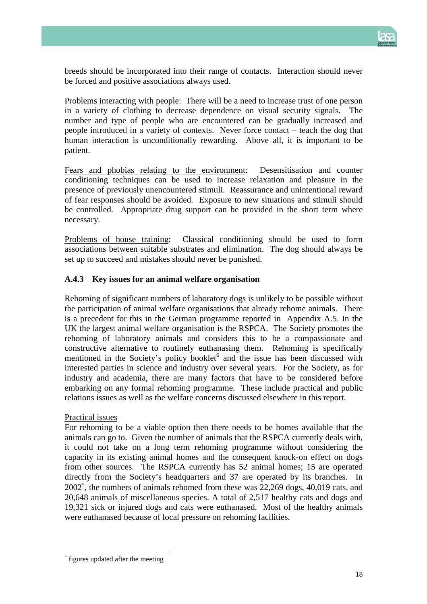

breeds should be incorporated into their range of contacts. Interaction should never be forced and positive associations always used.

Problems interacting with people: There will be a need to increase trust of one person in a variety of clothing to decrease dependence on visual security signals. The number and type of people who are encountered can be gradually increased and people introduced in a variety of contexts. Never force contact – teach the dog that human interaction is unconditionally rewarding. Above all, it is important to be patient.

Fears and phobias relating to the environment: Desensitisation and counter conditioning techniques can be used to increase relaxation and pleasure in the presence of previously unencountered stimuli. Reassurance and unintentional reward of fear responses should be avoided. Exposure to new situations and stimuli should be controlled. Appropriate drug support can be provided in the short term where necessary.

Problems of house training: Classical conditioning should be used to form associations between suitable substrates and elimination. The dog should always be set up to succeed and mistakes should never be punished.

## **A.4.3 Key issues for an animal welfare organisation**

Rehoming of significant numbers of laboratory dogs is unlikely to be possible without the participation of animal welfare organisations that already rehome animals. There is a precedent for this in the German programme reported in Appendix A.5. In the UK the largest animal welfare organisation is the RSPCA. The Society promotes the rehoming of laboratory animals and considers this to be a compassionate and constructive alternative to routinely euthanasing them. Rehoming is specifically mentioned in the Society's policy booklet<sup>6</sup> and the issue has been discussed with interested parties in science and industry over several years. For the Society, as for industry and academia, there are many factors that have to be considered before embarking on any formal rehoming programme. These include practical and public relations issues as well as the welfare concerns discussed elsewhere in this report.

#### Practical issues

For rehoming to be a viable option then there needs to be homes available that the animals can go to. Given the number of animals that the RSPCA currently deals with, it could not take on a long term rehoming programme without considering the capacity in its existing animal homes and the consequent knock-on effect on dogs from other sources. The RSPCA currently has 52 animal homes; 15 are operated directly from the Society's headquarters and 37 are operated by its branches. In 2002[∗](#page-17-0) , the numbers of animals rehomed from these was 22,269 dogs, 40,019 cats, and 20,648 animals of miscellaneous species. A total of 2,517 healthy cats and dogs and 19,321 sick or injured dogs and cats were euthanased. Most of the healthy animals were euthanased because of local pressure on rehoming facilities.

 $\overline{\phantom{a}}$ 

<span id="page-17-0"></span><sup>∗</sup> figures updated after the meeting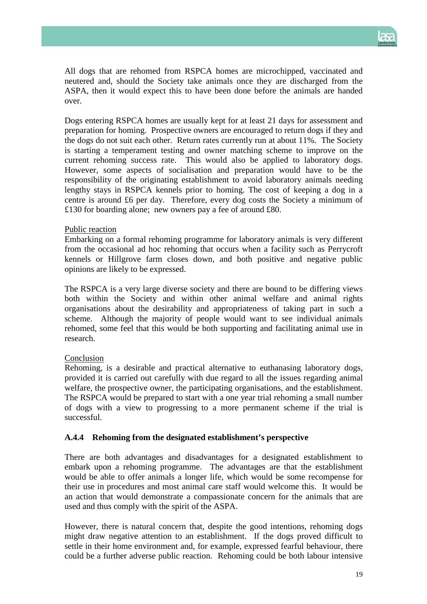

All dogs that are rehomed from RSPCA homes are microchipped, vaccinated and neutered and, should the Society take animals once they are discharged from the ASPA, then it would expect this to have been done before the animals are handed over.

Dogs entering RSPCA homes are usually kept for at least 21 days for assessment and preparation for homing. Prospective owners are encouraged to return dogs if they and the dogs do not suit each other. Return rates currently run at about 11%. The Society is starting a temperament testing and owner matching scheme to improve on the current rehoming success rate. This would also be applied to laboratory dogs. However, some aspects of socialisation and preparation would have to be the responsibility of the originating establishment to avoid laboratory animals needing lengthy stays in RSPCA kennels prior to homing. The cost of keeping a dog in a centre is around £6 per day. Therefore, every dog costs the Society a minimum of £130 for boarding alone; new owners pay a fee of around £80.

#### Public reaction

Embarking on a formal rehoming programme for laboratory animals is very different from the occasional ad hoc rehoming that occurs when a facility such as Perrycroft kennels or Hillgrove farm closes down, and both positive and negative public opinions are likely to be expressed.

The RSPCA is a very large diverse society and there are bound to be differing views both within the Society and within other animal welfare and animal rights organisations about the desirability and appropriateness of taking part in such a scheme. Although the majority of people would want to see individual animals rehomed, some feel that this would be both supporting and facilitating animal use in research.

## Conclusion

Rehoming, is a desirable and practical alternative to euthanasing laboratory dogs, provided it is carried out carefully with due regard to all the issues regarding animal welfare, the prospective owner, the participating organisations, and the establishment. The RSPCA would be prepared to start with a one year trial rehoming a small number of dogs with a view to progressing to a more permanent scheme if the trial is successful.

## **A.4.4 Rehoming from the designated establishment's perspective**

There are both advantages and disadvantages for a designated establishment to embark upon a rehoming programme. The advantages are that the establishment would be able to offer animals a longer life, which would be some recompense for their use in procedures and most animal care staff would welcome this. It would be an action that would demonstrate a compassionate concern for the animals that are used and thus comply with the spirit of the ASPA.

However, there is natural concern that, despite the good intentions, rehoming dogs might draw negative attention to an establishment. If the dogs proved difficult to settle in their home environment and, for example, expressed fearful behaviour, there could be a further adverse public reaction. Rehoming could be both labour intensive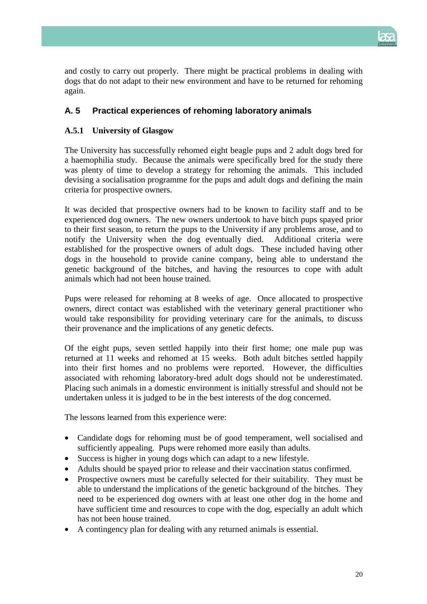

and costly to carry out properly. There might be practical problems in dealing with dogs that do not adapt to their new environment and have to be returned for rehoming again.

## **A. 5 Practical experiences of rehoming laboratory animals**

## **A.5.1 University of Glasgow**

The University has successfully rehomed eight beagle pups and 2 adult dogs bred for a haemophilia study. Because the animals were specifically bred for the study there was plenty of time to develop a strategy for rehoming the animals. This included devising a socialisation programme for the pups and adult dogs and defining the main criteria for prospective owners.

It was decided that prospective owners had to be known to facility staff and to be experienced dog owners. The new owners undertook to have bitch pups spayed prior to their first season, to return the pups to the University if any problems arose, and to notify the University when the dog eventually died. Additional criteria were established for the prospective owners of adult dogs. These included having other dogs in the household to provide canine company, being able to understand the genetic background of the bitches, and having the resources to cope with adult animals which had not been house trained.

Pups were released for rehoming at 8 weeks of age. Once allocated to prospective owners, direct contact was established with the veterinary general practitioner who would take responsibility for providing veterinary care for the animals, to discuss their provenance and the implications of any genetic defects.

Of the eight pups, seven settled happily into their first home; one male pup was returned at 11 weeks and rehomed at 15 weeks. Both adult bitches settled happily into their first homes and no problems were reported. However, the difficulties associated with rehoming laboratory-bred adult dogs should not be underestimated. Placing such animals in a domestic environment is initially stressful and should not be undertaken unless it is judged to be in the best interests of the dog concerned.

The lessons learned from this experience were:

- Candidate dogs for rehoming must be of good temperament, well socialised and sufficiently appealing. Pups were rehomed more easily than adults.
- Success is higher in young dogs which can adapt to a new lifestyle.
- Adults should be spayed prior to release and their vaccination status confirmed.
- Prospective owners must be carefully selected for their suitability. They must be able to understand the implications of the genetic background of the bitches. They need to be experienced dog owners with at least one other dog in the home and have sufficient time and resources to cope with the dog, especially an adult which has not been house trained.
- A contingency plan for dealing with any returned animals is essential.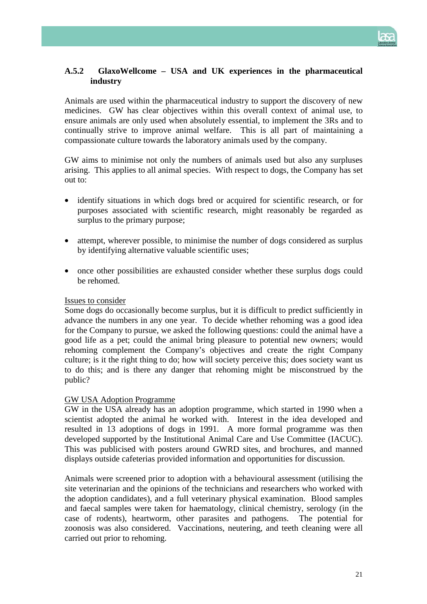

## **A.5.2 GlaxoWellcome – USA and UK experiences in the pharmaceutical industry**

Animals are used within the pharmaceutical industry to support the discovery of new medicines. GW has clear objectives within this overall context of animal use, to ensure animals are only used when absolutely essential, to implement the 3Rs and to continually strive to improve animal welfare. This is all part of maintaining a compassionate culture towards the laboratory animals used by the company.

GW aims to minimise not only the numbers of animals used but also any surpluses arising. This applies to all animal species. With respect to dogs, the Company has set out to:

- identify situations in which dogs bred or acquired for scientific research, or for purposes associated with scientific research, might reasonably be regarded as surplus to the primary purpose;
- attempt, wherever possible, to minimise the number of dogs considered as surplus by identifying alternative valuable scientific uses;
- once other possibilities are exhausted consider whether these surplus dogs could be rehomed.

#### Issues to consider

Some dogs do occasionally become surplus, but it is difficult to predict sufficiently in advance the numbers in any one year. To decide whether rehoming was a good idea for the Company to pursue, we asked the following questions: could the animal have a good life as a pet; could the animal bring pleasure to potential new owners; would rehoming complement the Company's objectives and create the right Company culture; is it the right thing to do; how will society perceive this; does society want us to do this; and is there any danger that rehoming might be misconstrued by the public?

## GW USA Adoption Programme

GW in the USA already has an adoption programme, which started in 1990 when a scientist adopted the animal he worked with. Interest in the idea developed and resulted in 13 adoptions of dogs in 1991. A more formal programme was then developed supported by the Institutional Animal Care and Use Committee (IACUC). This was publicised with posters around GWRD sites, and brochures, and manned displays outside cafeterias provided information and opportunities for discussion.

Animals were screened prior to adoption with a behavioural assessment (utilising the site veterinarian and the opinions of the technicians and researchers who worked with the adoption candidates), and a full veterinary physical examination. Blood samples and faecal samples were taken for haematology, clinical chemistry, serology (in the case of rodents), heartworm, other parasites and pathogens. The potential for zoonosis was also considered. Vaccinations, neutering, and teeth cleaning were all carried out prior to rehoming.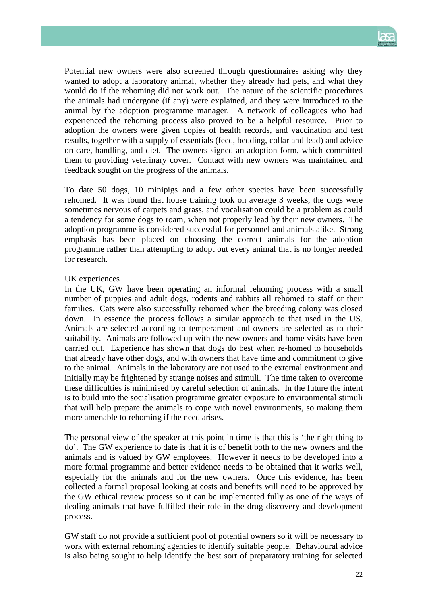

Potential new owners were also screened through questionnaires asking why they wanted to adopt a laboratory animal, whether they already had pets, and what they would do if the rehoming did not work out. The nature of the scientific procedures the animals had undergone (if any) were explained, and they were introduced to the animal by the adoption programme manager. A network of colleagues who had experienced the rehoming process also proved to be a helpful resource. Prior to adoption the owners were given copies of health records, and vaccination and test results, together with a supply of essentials (feed, bedding, collar and lead) and advice on care, handling, and diet. The owners signed an adoption form, which committed them to providing veterinary cover. Contact with new owners was maintained and feedback sought on the progress of the animals.

To date 50 dogs, 10 minipigs and a few other species have been successfully rehomed. It was found that house training took on average 3 weeks, the dogs were sometimes nervous of carpets and grass, and vocalisation could be a problem as could a tendency for some dogs to roam, when not properly lead by their new owners. The adoption programme is considered successful for personnel and animals alike. Strong emphasis has been placed on choosing the correct animals for the adoption programme rather than attempting to adopt out every animal that is no longer needed for research.

#### UK experiences

In the UK, GW have been operating an informal rehoming process with a small number of puppies and adult dogs, rodents and rabbits all rehomed to staff or their families. Cats were also successfully rehomed when the breeding colony was closed down. In essence the process follows a similar approach to that used in the US. Animals are selected according to temperament and owners are selected as to their suitability. Animals are followed up with the new owners and home visits have been carried out. Experience has shown that dogs do best when re-homed to households that already have other dogs, and with owners that have time and commitment to give to the animal. Animals in the laboratory are not used to the external environment and initially may be frightened by strange noises and stimuli. The time taken to overcome these difficulties is minimised by careful selection of animals. In the future the intent is to build into the socialisation programme greater exposure to environmental stimuli that will help prepare the animals to cope with novel environments, so making them more amenable to rehoming if the need arises.

The personal view of the speaker at this point in time is that this is 'the right thing to do'. The GW experience to date is that it is of benefit both to the new owners and the animals and is valued by GW employees. However it needs to be developed into a more formal programme and better evidence needs to be obtained that it works well, especially for the animals and for the new owners. Once this evidence, has been collected a formal proposal looking at costs and benefits will need to be approved by the GW ethical review process so it can be implemented fully as one of the ways of dealing animals that have fulfilled their role in the drug discovery and development process.

GW staff do not provide a sufficient pool of potential owners so it will be necessary to work with external rehoming agencies to identify suitable people. Behavioural advice is also being sought to help identify the best sort of preparatory training for selected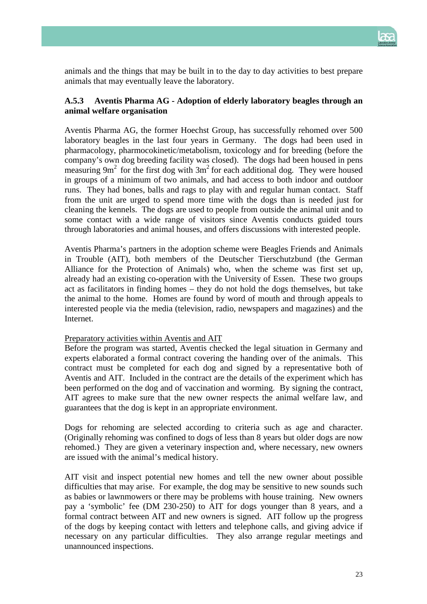

animals and the things that may be built in to the day to day activities to best prepare animals that may eventually leave the laboratory.

## **A.5.3 Aventis Pharma AG - Adoption of elderly laboratory beagles through an animal welfare organisation**

Aventis Pharma AG, the former Hoechst Group, has successfully rehomed over 500 laboratory beagles in the last four years in Germany. The dogs had been used in pharmacology, pharmocokinetic/metabolism, toxicology and for breeding (before the company's own dog breeding facility was closed). The dogs had been housed in pens measuring  $9m^2$  for the first dog with  $3m^2$  for each additional dog. They were housed in groups of a minimum of two animals, and had access to both indoor and outdoor runs. They had bones, balls and rags to play with and regular human contact. Staff from the unit are urged to spend more time with the dogs than is needed just for cleaning the kennels. The dogs are used to people from outside the animal unit and to some contact with a wide range of visitors since Aventis conducts guided tours through laboratories and animal houses, and offers discussions with interested people.

Aventis Pharma's partners in the adoption scheme were Beagles Friends and Animals in Trouble (AIT), both members of the Deutscher Tierschutzbund (the German Alliance for the Protection of Animals) who, when the scheme was first set up, already had an existing co-operation with the University of Essen. These two groups act as facilitators in finding homes – they do not hold the dogs themselves, but take the animal to the home. Homes are found by word of mouth and through appeals to interested people via the media (television, radio, newspapers and magazines) and the Internet.

#### Preparatory activities within Aventis and AIT

Before the program was started, Aventis checked the legal situation in Germany and experts elaborated a formal contract covering the handing over of the animals. This contract must be completed for each dog and signed by a representative both of Aventis and AIT. Included in the contract are the details of the experiment which has been performed on the dog and of vaccination and worming. By signing the contract, AIT agrees to make sure that the new owner respects the animal welfare law, and guarantees that the dog is kept in an appropriate environment.

Dogs for rehoming are selected according to criteria such as age and character. (Originally rehoming was confined to dogs of less than 8 years but older dogs are now rehomed.) They are given a veterinary inspection and, where necessary, new owners are issued with the animal's medical history.

AIT visit and inspect potential new homes and tell the new owner about possible difficulties that may arise. For example, the dog may be sensitive to new sounds such as babies or lawnmowers or there may be problems with house training. New owners pay a 'symbolic' fee (DM 230-250) to AIT for dogs younger than 8 years, and a formal contract between AIT and new owners is signed. AIT follow up the progress of the dogs by keeping contact with letters and telephone calls, and giving advice if necessary on any particular difficulties. They also arrange regular meetings and unannounced inspections.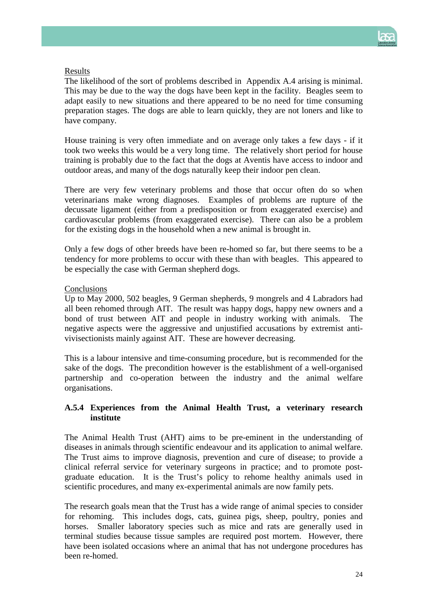

#### Results

The likelihood of the sort of problems described in Appendix A.4 arising is minimal. This may be due to the way the dogs have been kept in the facility. Beagles seem to adapt easily to new situations and there appeared to be no need for time consuming preparation stages. The dogs are able to learn quickly, they are not loners and like to have company.

House training is very often immediate and on average only takes a few days - if it took two weeks this would be a very long time. The relatively short period for house training is probably due to the fact that the dogs at Aventis have access to indoor and outdoor areas, and many of the dogs naturally keep their indoor pen clean.

There are very few veterinary problems and those that occur often do so when veterinarians make wrong diagnoses. Examples of problems are rupture of the decussate ligament (either from a predisposition or from exaggerated exercise) and cardiovascular problems (from exaggerated exercise). There can also be a problem for the existing dogs in the household when a new animal is brought in.

Only a few dogs of other breeds have been re-homed so far, but there seems to be a tendency for more problems to occur with these than with beagles. This appeared to be especially the case with German shepherd dogs.

#### **Conclusions**

Up to May 2000, 502 beagles, 9 German shepherds, 9 mongrels and 4 Labradors had all been rehomed through AIT. The result was happy dogs, happy new owners and a bond of trust between AIT and people in industry working with animals. The negative aspects were the aggressive and unjustified accusations by extremist antivivisectionists mainly against AIT. These are however decreasing.

This is a labour intensive and time-consuming procedure, but is recommended for the sake of the dogs. The precondition however is the establishment of a well-organised partnership and co-operation between the industry and the animal welfare organisations.

## **A.5.4 Experiences from the Animal Health Trust, a veterinary research institute**

The Animal Health Trust (AHT) aims to be pre-eminent in the understanding of diseases in animals through scientific endeavour and its application to animal welfare. The Trust aims to improve diagnosis, prevention and cure of disease; to provide a clinical referral service for veterinary surgeons in practice; and to promote postgraduate education. It is the Trust's policy to rehome healthy animals used in scientific procedures, and many ex-experimental animals are now family pets.

The research goals mean that the Trust has a wide range of animal species to consider for rehoming. This includes dogs, cats, guinea pigs, sheep, poultry, ponies and horses. Smaller laboratory species such as mice and rats are generally used in terminal studies because tissue samples are required post mortem. However, there have been isolated occasions where an animal that has not undergone procedures has been re-homed.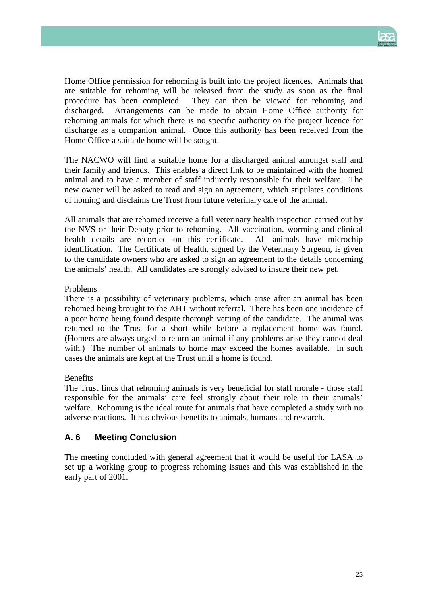

Home Office permission for rehoming is built into the project licences. Animals that are suitable for rehoming will be released from the study as soon as the final procedure has been completed. They can then be viewed for rehoming and discharged. Arrangements can be made to obtain Home Office authority for rehoming animals for which there is no specific authority on the project licence for discharge as a companion animal. Once this authority has been received from the Home Office a suitable home will be sought.

The NACWO will find a suitable home for a discharged animal amongst staff and their family and friends. This enables a direct link to be maintained with the homed animal and to have a member of staff indirectly responsible for their welfare. The new owner will be asked to read and sign an agreement, which stipulates conditions of homing and disclaims the Trust from future veterinary care of the animal.

All animals that are rehomed receive a full veterinary health inspection carried out by the NVS or their Deputy prior to rehoming. All vaccination, worming and clinical health details are recorded on this certificate. All animals have microchip identification. The Certificate of Health, signed by the Veterinary Surgeon, is given to the candidate owners who are asked to sign an agreement to the details concerning the animals' health. All candidates are strongly advised to insure their new pet.

## Problems

There is a possibility of veterinary problems, which arise after an animal has been rehomed being brought to the AHT without referral. There has been one incidence of a poor home being found despite thorough vetting of the candidate. The animal was returned to the Trust for a short while before a replacement home was found. (Homers are always urged to return an animal if any problems arise they cannot deal with.) The number of animals to home may exceed the homes available. In such cases the animals are kept at the Trust until a home is found.

## Benefits

The Trust finds that rehoming animals is very beneficial for staff morale - those staff responsible for the animals' care feel strongly about their role in their animals' welfare. Rehoming is the ideal route for animals that have completed a study with no adverse reactions. It has obvious benefits to animals, humans and research.

## **A. 6 Meeting Conclusion**

The meeting concluded with general agreement that it would be useful for LASA to set up a working group to progress rehoming issues and this was established in the early part of 2001.